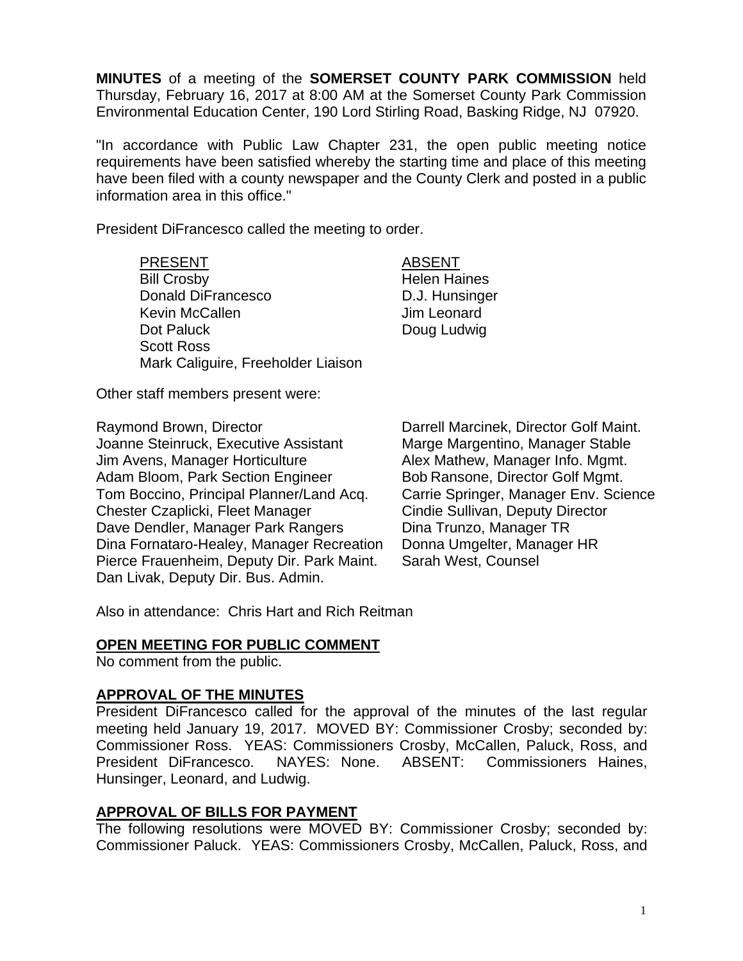**MINUTES** of a meeting of the **SOMERSET COUNTY PARK COMMISSION** held Thursday, February 16, 2017 at 8:00 AM at the Somerset County Park Commission Environmental Education Center, 190 Lord Stirling Road, Basking Ridge, NJ 07920.

"In accordance with Public Law Chapter 231, the open public meeting notice requirements have been satisfied whereby the starting time and place of this meeting have been filed with a county newspaper and the County Clerk and posted in a public information area in this office."

President DiFrancesco called the meeting to order.

PRESENT ABSENT Bill Crosby **Helen Haines** Donald DiFrancesco **D.J. Hunsinger** Kevin McCallen **Jim Leonard** Dot Paluck Doug Ludwig Scott Ross Mark Caliguire, Freeholder Liaison

Other staff members present were:

Raymond Brown, Director **Darrell Marcinek, Director Golf Maint.** Joanne Steinruck, Executive Assistant Marge Margentino, Manager Stable Jim Avens, Manager Horticulture **Alex Mathew, Manager Info. Mgmt.** Adam Bloom, Park Section Engineer Bob Ransone, Director Golf Mgmt. Tom Boccino, Principal Planner/Land Acq. Carrie Springer, Manager Env. Science Chester Czaplicki, Fleet Manager Cindie Sullivan, Deputy Director Dave Dendler, Manager Park Rangers Dina Trunzo, Manager TR Dina Fornataro-Healey, Manager Recreation Donna Umgelter, Manager HR Pierce Frauenheim, Deputy Dir. Park Maint. Sarah West, Counsel Dan Livak, Deputy Dir. Bus. Admin.

Also in attendance: Chris Hart and Rich Reitman

#### **OPEN MEETING FOR PUBLIC COMMENT**

No comment from the public.

## **APPROVAL OF THE MINUTES**

President DiFrancesco called for the approval of the minutes of the last regular meeting held January 19, 2017. MOVED BY: Commissioner Crosby; seconded by: Commissioner Ross. YEAS: Commissioners Crosby, McCallen, Paluck, Ross, and President DiFrancesco. NAYES: None. ABSENT: Commissioners Haines, Hunsinger, Leonard, and Ludwig.

#### **APPROVAL OF BILLS FOR PAYMENT**

The following resolutions were MOVED BY: Commissioner Crosby; seconded by: Commissioner Paluck. YEAS: Commissioners Crosby, McCallen, Paluck, Ross, and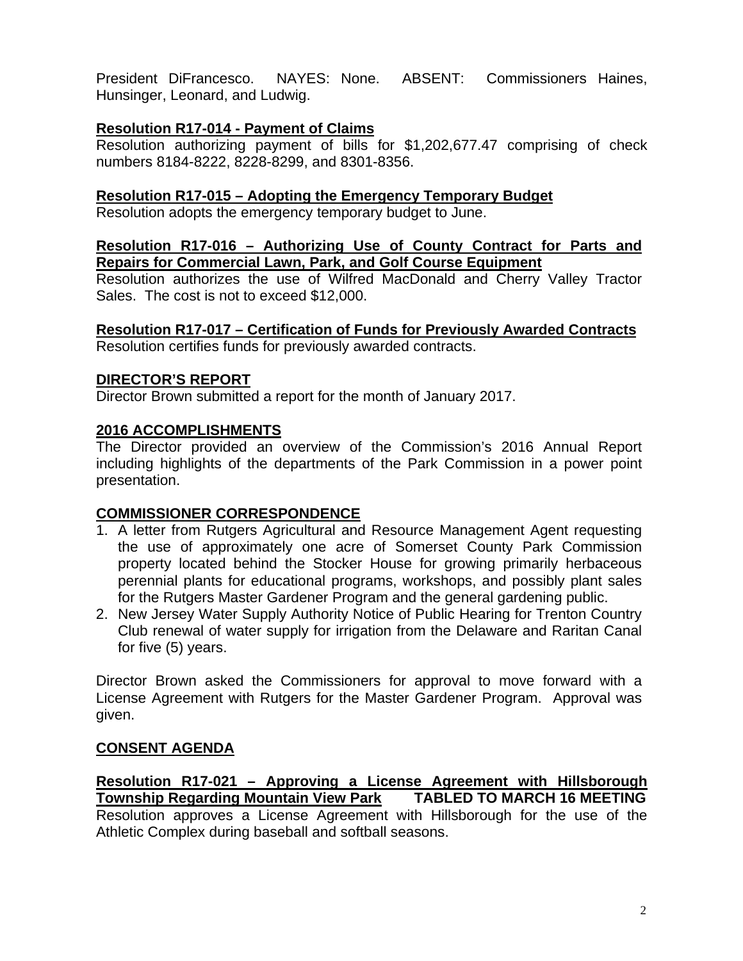President DiFrancesco. NAYES: None. ABSENT: Commissioners Haines, Hunsinger, Leonard, and Ludwig.

### **Resolution R17-014 - Payment of Claims**

Resolution authorizing payment of bills for \$1,202,677.47 comprising of check numbers 8184-8222, 8228-8299, and 8301-8356.

### **Resolution R17-015 – Adopting the Emergency Temporary Budget**

Resolution adopts the emergency temporary budget to June.

#### **Resolution R17-016 – Authorizing Use of County Contract for Parts and Repairs for Commercial Lawn, Park, and Golf Course Equipment**

Resolution authorizes the use of Wilfred MacDonald and Cherry Valley Tractor Sales. The cost is not to exceed \$12,000.

# **Resolution R17-017 – Certification of Funds for Previously Awarded Contracts**

Resolution certifies funds for previously awarded contracts.

#### **DIRECTOR'S REPORT**

Director Brown submitted a report for the month of January 2017.

#### **2016 ACCOMPLISHMENTS**

The Director provided an overview of the Commission's 2016 Annual Report including highlights of the departments of the Park Commission in a power point presentation.

## **COMMISSIONER CORRESPONDENCE**

- 1. A letter from Rutgers Agricultural and Resource Management Agent requesting the use of approximately one acre of Somerset County Park Commission property located behind the Stocker House for growing primarily herbaceous perennial plants for educational programs, workshops, and possibly plant sales for the Rutgers Master Gardener Program and the general gardening public.
- 2. New Jersey Water Supply Authority Notice of Public Hearing for Trenton Country Club renewal of water supply for irrigation from the Delaware and Raritan Canal for five (5) years.

Director Brown asked the Commissioners for approval to move forward with a License Agreement with Rutgers for the Master Gardener Program. Approval was given.

## **CONSENT AGENDA**

**Resolution R17-021 – Approving a License Agreement with Hillsborough Township Regarding Mountain View Park TABLED TO MARCH 16 MEETING**  Resolution approves a License Agreement with Hillsborough for the use of the Athletic Complex during baseball and softball seasons.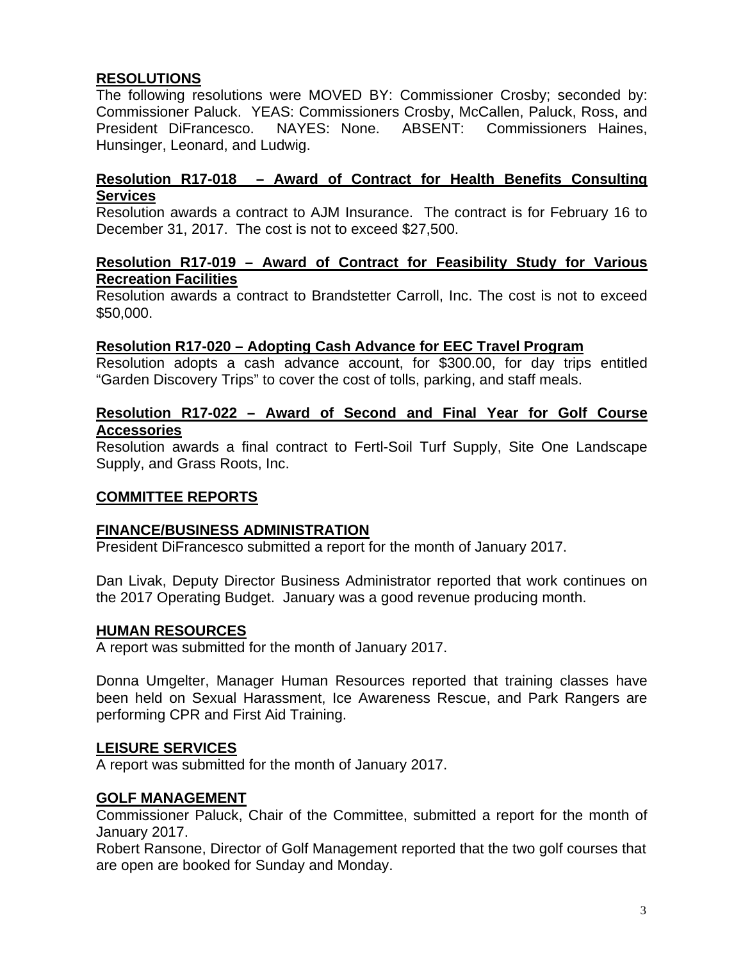## **RESOLUTIONS**

The following resolutions were MOVED BY: Commissioner Crosby; seconded by: Commissioner Paluck. YEAS: Commissioners Crosby, McCallen, Paluck, Ross, and President DiFrancesco. NAYES: None. ABSENT: Commissioners Haines, Hunsinger, Leonard, and Ludwig.

### **Resolution R17-018 – Award of Contract for Health Benefits Consulting Services**

Resolution awards a contract to AJM Insurance. The contract is for February 16 to December 31, 2017. The cost is not to exceed \$27,500.

#### **Resolution R17-019 – Award of Contract for Feasibility Study for Various Recreation Facilities**

Resolution awards a contract to Brandstetter Carroll, Inc. The cost is not to exceed \$50,000.

#### **Resolution R17-020 – Adopting Cash Advance for EEC Travel Program**

Resolution adopts a cash advance account, for \$300.00, for day trips entitled "Garden Discovery Trips" to cover the cost of tolls, parking, and staff meals.

### **Resolution R17-022 – Award of Second and Final Year for Golf Course Accessories**

Resolution awards a final contract to Fertl-Soil Turf Supply, Site One Landscape Supply, and Grass Roots, Inc.

## **COMMITTEE REPORTS**

#### **FINANCE/BUSINESS ADMINISTRATION**

President DiFrancesco submitted a report for the month of January 2017.

Dan Livak, Deputy Director Business Administrator reported that work continues on the 2017 Operating Budget. January was a good revenue producing month.

#### **HUMAN RESOURCES**

A report was submitted for the month of January 2017.

Donna Umgelter, Manager Human Resources reported that training classes have been held on Sexual Harassment, Ice Awareness Rescue, and Park Rangers are performing CPR and First Aid Training.

#### **LEISURE SERVICES**

A report was submitted for the month of January 2017.

#### **GOLF MANAGEMENT**

Commissioner Paluck, Chair of the Committee, submitted a report for the month of January 2017.

Robert Ransone, Director of Golf Management reported that the two golf courses that are open are booked for Sunday and Monday.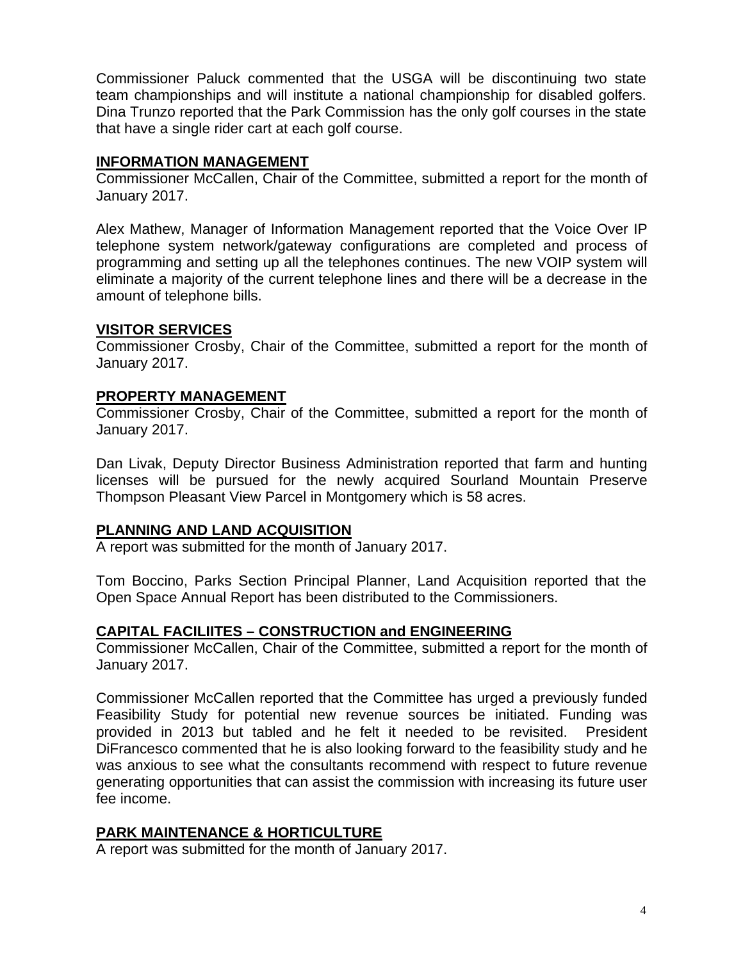Commissioner Paluck commented that the USGA will be discontinuing two state team championships and will institute a national championship for disabled golfers. Dina Trunzo reported that the Park Commission has the only golf courses in the state that have a single rider cart at each golf course.

#### **INFORMATION MANAGEMENT**

Commissioner McCallen, Chair of the Committee, submitted a report for the month of January 2017.

Alex Mathew, Manager of Information Management reported that the Voice Over IP telephone system network/gateway configurations are completed and process of programming and setting up all the telephones continues. The new VOIP system will eliminate a majority of the current telephone lines and there will be a decrease in the amount of telephone bills.

### **VISITOR SERVICES**

Commissioner Crosby, Chair of the Committee, submitted a report for the month of January 2017.

### **PROPERTY MANAGEMENT**

Commissioner Crosby, Chair of the Committee, submitted a report for the month of January 2017.

Dan Livak, Deputy Director Business Administration reported that farm and hunting licenses will be pursued for the newly acquired Sourland Mountain Preserve Thompson Pleasant View Parcel in Montgomery which is 58 acres.

## **PLANNING AND LAND ACQUISITION**

A report was submitted for the month of January 2017.

Tom Boccino, Parks Section Principal Planner, Land Acquisition reported that the Open Space Annual Report has been distributed to the Commissioners.

## **CAPITAL FACILIITES – CONSTRUCTION and ENGINEERING**

Commissioner McCallen, Chair of the Committee, submitted a report for the month of January 2017.

Commissioner McCallen reported that the Committee has urged a previously funded Feasibility Study for potential new revenue sources be initiated. Funding was provided in 2013 but tabled and he felt it needed to be revisited. President DiFrancesco commented that he is also looking forward to the feasibility study and he was anxious to see what the consultants recommend with respect to future revenue generating opportunities that can assist the commission with increasing its future user fee income.

## **PARK MAINTENANCE & HORTICULTURE**

A report was submitted for the month of January 2017.